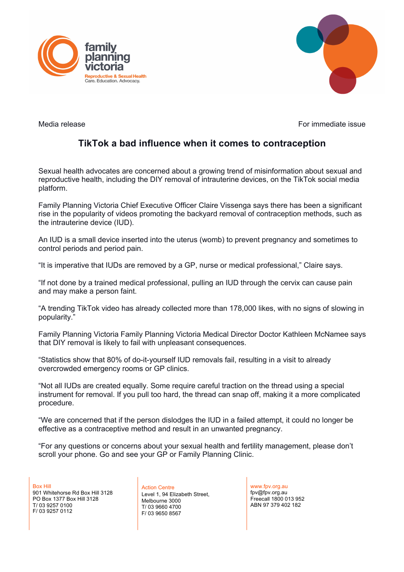



Media release For immediate issue

# **TikTok a bad influence when it comes to contraception**

Sexual health advocates are concerned about a growing trend of misinformation about sexual and reproductive health, including the DIY removal of intrauterine devices, on the TikTok social media platform.

Family Planning Victoria Chief Executive Officer Claire Vissenga says there has been a significant rise in the popularity of videos promoting the backyard removal of contraception methods, such as the intrauterine device (IUD).

An IUD is a small device inserted into the uterus (womb) to prevent pregnancy and sometimes to control periods and period pain.

"It is imperative that IUDs are removed by a GP, nurse or medical professional," Claire says.

"If not done by a trained medical professional, pulling an IUD through the cervix can cause pain and may make a person faint.

"A trending TikTok video has already collected more than 178,000 likes, with no signs of slowing in popularity."

Family Planning Victoria Family Planning Victoria Medical Director Doctor Kathleen McNamee says that DIY removal is likely to fail with unpleasant consequences.

"Statistics show that 80% of do-it-yourself IUD removals fail, resulting in a visit to already overcrowded emergency rooms or GP clinics.

"Not all IUDs are created equally. Some require careful traction on the thread using a special instrument for removal. If you pull too hard, the thread can snap off, making it a more complicated procedure.

"We are concerned that if the person dislodges the IUD in a failed attempt, it could no longer be effective as a contraceptive method and result in an unwanted pregnancy.

"For any questions or concerns about your sexual health and fertility management, please don't scroll your phone. Go and see your GP or Family Planning Clinic.

Box Hill 901 Whitehorse Rd Box Hill 3128 PO Box 1377 Box Hill 3128 T/ 03 9257 0100 F/ 03 9257 0112

Action Centre Level 1, 94 Elizabeth Street, Melbourne 3000 T/ 03 9660 4700 F/ 03 9650 8567

www.fpv.org.au fpv@fpv.org.au Freecall 1800 013 952 ABN 97 379 402 182